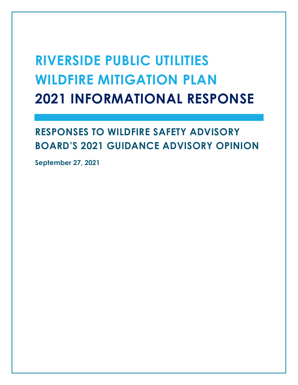# **RIVERSIDE PUBLIC UTILITIES WILDFIRE MITIGATION PLAN 2021 INFORMATIONAL RESPONSE**

## **RESPONSES TO WILDFIRE SAFETY ADVISORY BOARD'S 2021 GUIDANCE ADVISORY OPINION**

**September 27, 2021**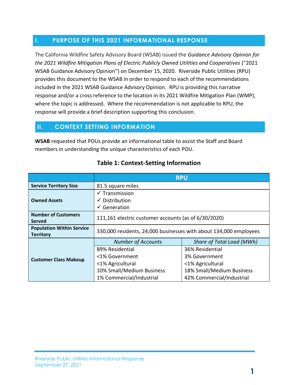### **I. PURPOSE OF THIS 2021 INFORMATIONAL RESPONSE**

The California Wildfire Safety Advisory Board (WSAB) issued the *Guidance Advisory Opinion for the 2021 Wildfire Mitigation Plans of Electric Publicly Owned Utilities and Cooperatives* ("2021 WSAB Guidance Advisory Opinion") on December 15, 2020. Riverside Public Utilities (RPU) provides this document to the WSAB in order to respond to each of the recommendations included in the 2021 WSAB Guidance Advisory Opinion. RPU is providing this narrative response and/or a cross reference to the location in its 2021 Wildfire Mitigation Plan (WMP), where the topic is addressed. Where the recommendation is not applicable to RPU, the response will provide a brief description supporting this conclusion.

### **II. CONTEXT SETTING INFORMATION**

**WSAB** requested that POUs provide an informational table to assist the Staff and Board members in understanding the unique characteristics of each POU.

|                                                      | <b>RPU</b>                                                        |                           |  |
|------------------------------------------------------|-------------------------------------------------------------------|---------------------------|--|
| <b>Service Territory Size</b>                        | 81.5 square miles                                                 |                           |  |
|                                                      | $\checkmark$ Transmission                                         |                           |  |
| <b>Owned Assets</b>                                  | $\checkmark$ Distribution                                         |                           |  |
|                                                      | $\checkmark$ Generation                                           |                           |  |
| <b>Number of Customers</b><br><b>Served</b>          | 111,161 electric customer accounts (as of 6/30/2020)              |                           |  |
| <b>Population Within Service</b><br><b>Territory</b> | 330,000 residents, 24,000 businesses with about 134,000 employees |                           |  |
|                                                      | <b>Number of Accounts</b>                                         | Share of Total Load (MWh) |  |
|                                                      | 89% Residential                                                   | 36% Residential           |  |
| <b>Customer Class Makeup</b>                         | <1% Government                                                    | 3% Government             |  |
|                                                      | <1% Agricultural                                                  | <1% Agricultural          |  |
|                                                      | 10% Small/Medium Business                                         | 18% Small/Medium Business |  |
|                                                      | 1% Commercial/Industrial                                          | 42% Commercial/Industrial |  |

### **Table 1: Context-Setting Information**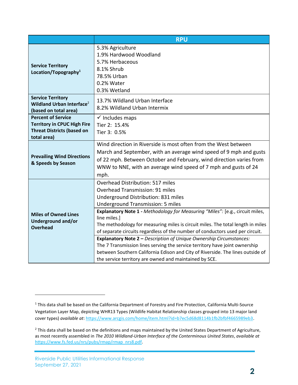|                                                                                                                     | <b>RPU</b>                                                                                                                                                                                                                                                                                                                                                                                                                                                                                                                                                                                                                                                                                                                           |  |
|---------------------------------------------------------------------------------------------------------------------|--------------------------------------------------------------------------------------------------------------------------------------------------------------------------------------------------------------------------------------------------------------------------------------------------------------------------------------------------------------------------------------------------------------------------------------------------------------------------------------------------------------------------------------------------------------------------------------------------------------------------------------------------------------------------------------------------------------------------------------|--|
| <b>Service Territory</b><br>Location/Topography <sup>1</sup>                                                        | 5.3% Agriculture<br>1.9% Hardwood Woodland<br>5.7% Herbaceous<br>8.1% Shrub<br>78.5% Urban<br>0.2% Water<br>0.3% Wetland                                                                                                                                                                                                                                                                                                                                                                                                                                                                                                                                                                                                             |  |
| <b>Service Territory</b><br>Wildland Urban Interface <sup>2</sup><br>(based on total area)                          | 13.7% Wildland Urban Interface<br>8.2% Wildland Urban Intermix                                                                                                                                                                                                                                                                                                                                                                                                                                                                                                                                                                                                                                                                       |  |
| <b>Percent of Service</b><br><b>Territory in CPUC High Fire</b><br><b>Threat Districts (based on</b><br>total area) | $\checkmark$ Includes maps<br>Tier 2: 15.4%<br>Tier 3: 0.5%                                                                                                                                                                                                                                                                                                                                                                                                                                                                                                                                                                                                                                                                          |  |
| <b>Prevailing Wind Directions</b><br>& Speeds by Season                                                             | Wind direction in Riverside is most often from the West between<br>March and September, with an average wind speed of 9 mph and gusts<br>of 22 mph. Between October and February, wind direction varies from<br>WNW to NNE, with an average wind speed of 7 mph and gusts of 24<br>mph.                                                                                                                                                                                                                                                                                                                                                                                                                                              |  |
| <b>Miles of Owned Lines</b><br>Underground and/or<br><b>Overhead</b>                                                | Overhead Distribution: 517 miles<br><b>Overhead Transmission: 91 miles</b><br>Underground Distribution: 831 miles<br><b>Underground Transmission: 5 miles</b><br>Explanatory Note 1 - Methodology for Measuring "Miles": [e.g., circuit miles,<br>line miles.]<br>The methodology for measuring miles is circuit miles. The total length in miles<br>of separate circuits regardless of the number of conductors used per circuit.<br>Explanatory Note 2 - Description of Unique Ownership Circumstances:<br>The 7 Transmission lines serving the service territory have joint ownership<br>between Southern California Edison and City of Riverside. The lines outside of<br>the service territory are owned and maintained by SCE. |  |

l

<sup>&</sup>lt;sup>1</sup> This data shall be based on the California Department of Forestry and Fire Protection, California Multi-Source Vegetation Layer Map, depicting WHR13 Types (Wildlife Habitat Relationship classes grouped into 13 major land cover types) *available at*[: https://www.arcgis.com/home/item.html?id=b7ec5d68d8114b1fb2bfbf4665989eb3.](https://www.arcgis.com/home/item.html?id=b7ec5d68d8114b1fb2bfbf4665989eb3) 

<sup>&</sup>lt;sup>2</sup> This data shall be based on the definitions and maps maintained by the United States Department of Agriculture, as most recently assembled in *The 2010 Wildland-Urban Interface of the Conterminous United States*, *available at* [https://www.fs.fed.us/nrs/pubs/rmap/rmap\\_nrs8.pdf.](https://www.fs.fed.us/nrs/pubs/rmap/rmap_nrs8.pdf)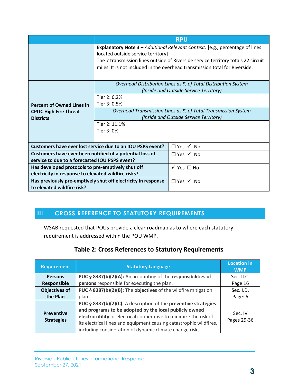|                                                                                                                           | <b>RPU</b>                                                                                                                                                                                                                                                                             |                            |
|---------------------------------------------------------------------------------------------------------------------------|----------------------------------------------------------------------------------------------------------------------------------------------------------------------------------------------------------------------------------------------------------------------------------------|----------------------------|
|                                                                                                                           | Explanatory Note 3 - Additional Relevant Context: [e.g., percentage of lines<br>located outside service territory]<br>The 7 transmission lines outside of Riverside service territory totals 22 circuit<br>miles. It is not included in the overhead transmission total for Riverside. |                            |
|                                                                                                                           | Overhead Distribution Lines as % of Total Distribution System<br>(Inside and Outside Service Territory)                                                                                                                                                                                |                            |
| <b>Percent of Owned Lines in</b>                                                                                          | Tier 2: 6.2%<br>Tier 3: 0.5%<br>Overhead Transmission Lines as % of Total Transmission System                                                                                                                                                                                          |                            |
| <b>CPUC High Fire Threat</b><br><b>Districts</b>                                                                          | (Inside and Outside Service Territory)                                                                                                                                                                                                                                                 |                            |
|                                                                                                                           | Tier 2: 11.1%<br>Tier 3:0%                                                                                                                                                                                                                                                             |                            |
| Customers have ever lost service due to an IOU PSPS event?<br>$\Box$ Yes $\checkmark$ No                                  |                                                                                                                                                                                                                                                                                        |                            |
| Customers have ever been notified of a potential loss of<br>service to due to a forecasted IOU PSPS event?                |                                                                                                                                                                                                                                                                                        | $\Box$ Yes $\checkmark$ No |
| Has developed protocols to pre-emptively shut off<br>electricity in response to elevated wildfire risks?                  |                                                                                                                                                                                                                                                                                        | $\checkmark$ Yes $\Box$ No |
| Has previously pre-emptively shut off electricity in response<br>$\Box$ Yes $\checkmark$ No<br>to elevated wildfire risk? |                                                                                                                                                                                                                                                                                        |                            |

### **III. CROSS REFERENCE TO STATUTORY REQUIREMENTS**

WSAB requested that POUs provide a clear roadmap as to where each statutory requirement is addressed within the POU WMP.

### **Table 2: Cross References to Statutory Requirements**

| <b>Requirement</b>                     | <b>Statutory Language</b>                                                                                                                                                                                                                                                                                                         | <b>Location in</b><br><b>WMP</b> |
|----------------------------------------|-----------------------------------------------------------------------------------------------------------------------------------------------------------------------------------------------------------------------------------------------------------------------------------------------------------------------------------|----------------------------------|
| <b>Persons</b>                         | PUC § 8387(b)(2)(A): An accounting of the responsibilities of                                                                                                                                                                                                                                                                     | Sec. II.C.                       |
| <b>Responsible</b>                     | persons responsible for executing the plan.                                                                                                                                                                                                                                                                                       | Page 16                          |
| <b>Objectives of</b>                   | PUC § 8387(b)(2)(B): The objectives of the wildfire mitigation                                                                                                                                                                                                                                                                    | Sec. I.D.                        |
| the Plan                               | plan.                                                                                                                                                                                                                                                                                                                             | Page: 6                          |
| <b>Preventive</b><br><b>Strategies</b> | PUC § 8387(b)(2)(C): A description of the preventive strategies<br>and programs to be adopted by the local publicly owned<br>electric utility or electrical cooperative to minimize the risk of<br>its electrical lines and equipment causing catastrophic wildfires,<br>including consideration of dynamic climate change risks. | Sec. IV<br>Pages 29-36           |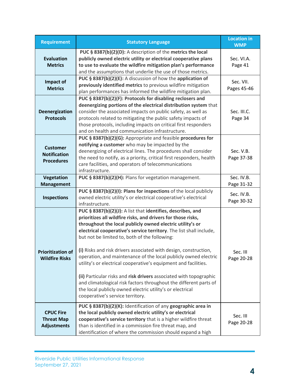| <b>Requirement</b>                                          | <b>Statutory Language</b>                                                                                                                                                                                                                                                                                                                                                                                                                                                                                                                                                                                                                                                                                                                                              | <b>Location in</b><br><b>WMP</b> |
|-------------------------------------------------------------|------------------------------------------------------------------------------------------------------------------------------------------------------------------------------------------------------------------------------------------------------------------------------------------------------------------------------------------------------------------------------------------------------------------------------------------------------------------------------------------------------------------------------------------------------------------------------------------------------------------------------------------------------------------------------------------------------------------------------------------------------------------------|----------------------------------|
| <b>Evaluation</b><br><b>Metrics</b>                         | PUC § 8387(b)(2)(D): A description of the metrics the local<br>publicly owned electric utility or electrical cooperative plans<br>to use to evaluate the wildfire mitigation plan's performance<br>and the assumptions that underlie the use of those metrics.                                                                                                                                                                                                                                                                                                                                                                                                                                                                                                         | Sec. VI.A.<br>Page 41            |
| Impact of<br><b>Metrics</b>                                 | PUC § 8387(b)(2)(E): A discussion of how the application of<br>previously identified metrics to previous wildfire mitigation<br>plan performances has informed the wildfire mitigation plan.                                                                                                                                                                                                                                                                                                                                                                                                                                                                                                                                                                           | Sec. VII.<br>Pages 45-46         |
| Deenergization<br><b>Protocols</b>                          | PUC § 8387(b)(2)(F): Protocols for disabling reclosers and<br>deenergizing portions of the electrical distribution system that<br>consider the associated impacts on public safety, as well as<br>protocols related to mitigating the public safety impacts of<br>those protocols, including impacts on critical first responders<br>and on health and communication infrastructure.                                                                                                                                                                                                                                                                                                                                                                                   | Sec. III.C.<br>Page 34           |
| <b>Customer</b><br><b>Notification</b><br><b>Procedures</b> | PUC § 8387(b)(2)(G): Appropriate and feasible procedures for<br>notifying a customer who may be impacted by the<br>deenergizing of electrical lines. The procedures shall consider<br>the need to notify, as a priority, critical first responders, health<br>care facilities, and operators of telecommunications<br>infrastructure.                                                                                                                                                                                                                                                                                                                                                                                                                                  | Sec. V.B.<br>Page 37-38          |
| Vegetation<br><b>Management</b>                             | PUC § 8387(b)(2)(H): Plans for vegetation management.                                                                                                                                                                                                                                                                                                                                                                                                                                                                                                                                                                                                                                                                                                                  | Sec. IV.B.<br>Page 31-32         |
| <b>Inspections</b>                                          | PUC § 8387(b)(2)(I): Plans for inspections of the local publicly<br>owned electric utility's or electrical cooperative's electrical<br>infrastructure.                                                                                                                                                                                                                                                                                                                                                                                                                                                                                                                                                                                                                 | Sec. IV.B.<br>Page 30-32         |
| <b>Prioritization of</b><br><b>Wildfire Risks</b>           | PUC § 8387(b)(2)(J): A list that identifies, describes, and<br>prioritizes all wildfire risks, and drivers for those risks,<br>throughout the local publicly owned electric utility's or<br>electrical cooperative's service territory. The list shall include,<br>but not be limited to, both of the following:<br>(i) Risks and risk drivers associated with design, construction,<br>operation, and maintenance of the local publicly owned electric<br>utility's or electrical cooperative's equipment and facilities.<br>(ii) Particular risks and risk drivers associated with topographic<br>and climatological risk factors throughout the different parts of<br>the local publicly owned electric utility's or electrical<br>cooperative's service territory. | Sec. III<br>Page 20-28           |
| <b>CPUC Fire</b><br><b>Threat Map</b><br><b>Adjustments</b> | PUC § 8387(b)(2)(K): Identification of any geographic area in<br>the local publicly owned electric utility's or electrical<br>cooperative's service territory that is a higher wildfire threat<br>than is identified in a commission fire threat map, and<br>identification of where the commission should expand a high                                                                                                                                                                                                                                                                                                                                                                                                                                               | Sec. III<br>Page 20-28           |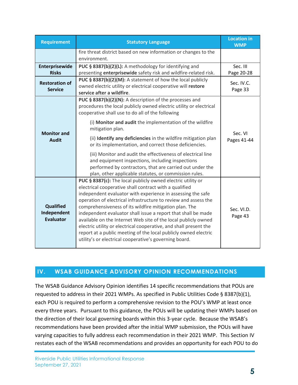| <b>Requirement</b>                           | <b>Statutory Language</b>                                                                                                                                                                                                                                                                                                                                                                                                                                                                                                                                                                                                                              | <b>Location in</b><br><b>WMP</b> |
|----------------------------------------------|--------------------------------------------------------------------------------------------------------------------------------------------------------------------------------------------------------------------------------------------------------------------------------------------------------------------------------------------------------------------------------------------------------------------------------------------------------------------------------------------------------------------------------------------------------------------------------------------------------------------------------------------------------|----------------------------------|
|                                              | fire threat district based on new information or changes to the<br>environment.                                                                                                                                                                                                                                                                                                                                                                                                                                                                                                                                                                        |                                  |
| Enterprisewide<br><b>Risks</b>               | PUC § 8387(b)(2)(L): A methodology for identifying and<br>presenting enterprisewide safety risk and wildfire-related risk.                                                                                                                                                                                                                                                                                                                                                                                                                                                                                                                             | Sec. III<br>Page 20-28           |
| <b>Restoration of</b><br><b>Service</b>      | PUC § 8387(b)(2)(M): A statement of how the local publicly<br>owned electric utility or electrical cooperative will restore<br>service after a wildfire.                                                                                                                                                                                                                                                                                                                                                                                                                                                                                               | Sec. IV.C.<br>Page 33            |
| <b>Monitor and</b><br><b>Audit</b>           | PUC § 8387(b)(2)(N): A description of the processes and<br>procedures the local publicly owned electric utility or electrical<br>cooperative shall use to do all of the following                                                                                                                                                                                                                                                                                                                                                                                                                                                                      |                                  |
|                                              | (i) Monitor and audit the implementation of the wildfire<br>mitigation plan.                                                                                                                                                                                                                                                                                                                                                                                                                                                                                                                                                                           |                                  |
|                                              | (ii) Identify any deficiencies in the wildfire mitigation plan<br>or its implementation, and correct those deficiencies.                                                                                                                                                                                                                                                                                                                                                                                                                                                                                                                               | Sec. VI<br>Pages 41-44           |
|                                              | (iii) Monitor and audit the effectiveness of electrical line<br>and equipment inspections, including inspections<br>performed by contractors, that are carried out under the<br>plan, other applicable statutes, or commission rules.                                                                                                                                                                                                                                                                                                                                                                                                                  |                                  |
| Qualified<br>Independent<br><b>Evaluator</b> | PUC § 8387(c): The local publicly owned electric utility or<br>electrical cooperative shall contract with a qualified<br>independent evaluator with experience in assessing the safe<br>operation of electrical infrastructure to review and assess the<br>comprehensiveness of its wildfire mitigation plan. The<br>independent evaluator shall issue a report that shall be made<br>available on the Internet Web site of the local publicly owned<br>electric utility or electrical cooperative, and shall present the<br>report at a public meeting of the local publicly owned electric<br>utility's or electrical cooperative's governing board. | Sec. VI.D.<br>Page 43            |

### **IV. WSAB GUIDANCE ADVISORY OPINION RECOMMENDATIONS**

The WSAB Guidance Advisory Opinion identifies 14 specific recommendations that POUs are requested to address in their 2021 WMPs. As specified in Public Utilities Code § 8387(b)(1), each POU is required to perform a comprehensive revision to the POU's WMP at least once every three years. Pursuant to this guidance, the POUs will be updating their WMPs based on the direction of their local governing boards within this 3-year cycle. Because the WSAB's recommendations have been provided after the initial WMP submission, the POUs will have varying capacities to fully address each recommendation in their 2021 WMP. This Section IV restates each of the WSAB recommendations and provides an opportunity for each POU to do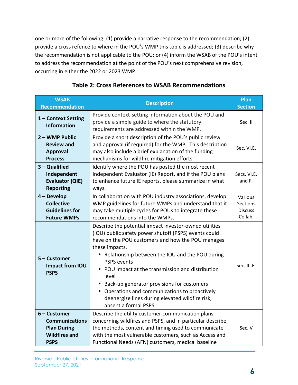one or more of the following: (1) provide a narrative response to the recommendation; (2) provide a cross refence to where in the POU's WMP this topic is addressed; (3) describe why the recommendation is not applicable to the POU; or (4) inform the WSAB of the POU's intent to address the recommendation at the point of the POU's next comprehensive revision, occurring in either the 2022 or 2023 WMP.

| <b>WSAB</b><br><b>Recommendation</b>                                                                 | <b>Description</b>                                                                                                                                                                                                                                                                                                                                                                                                                                                                                           | <b>Plan</b><br><b>Section</b>                    |
|------------------------------------------------------------------------------------------------------|--------------------------------------------------------------------------------------------------------------------------------------------------------------------------------------------------------------------------------------------------------------------------------------------------------------------------------------------------------------------------------------------------------------------------------------------------------------------------------------------------------------|--------------------------------------------------|
| 1 - Context Setting<br><b>Information</b>                                                            | Provide context-setting information about the POU and<br>provide a simple guide to where the statutory<br>requirements are addressed within the WMP.                                                                                                                                                                                                                                                                                                                                                         | Sec. II                                          |
| 2 - WMP Public<br><b>Review and</b><br><b>Approval</b><br><b>Process</b>                             | Provide a short description of the POU's public review<br>and approval (if required) for the WMP. This description<br>may also include a brief explanation of the funding<br>mechanisms for wildfire mitigation efforts                                                                                                                                                                                                                                                                                      | Sec. VI.E.                                       |
| $3 -$ Qualified<br>Independent<br><b>Evaluator (QIE)</b><br><b>Reporting</b>                         | Identify where the POU has posted the most recent<br>Independent Evaluator (IE) Report, and if the POU plans<br>to enhance future IE reports, please summarize in what<br>ways.                                                                                                                                                                                                                                                                                                                              | Secs. VI.E.<br>and F.                            |
| $4 - Develop$<br><b>Collective</b><br><b>Guidelines for</b><br><b>Future WMPs</b>                    | In collaboration with POU industry associations, develop<br>WMP guidelines for future WMPs and understand that it<br>may take multiple cycles for POUs to integrate these<br>recommendations into the WMPs.                                                                                                                                                                                                                                                                                                  | Various<br>Sections<br><b>Discuss</b><br>Collab. |
| 5 - Customer<br>Impact from IOU<br><b>PSPS</b>                                                       | Describe the potential impact investor-owned utilities<br>(IOU) public safety power shutoff (PSPS) events could<br>have on the POU customers and how the POU manages<br>these impacts.<br>• Relationship between the IOU and the POU during<br><b>PSPS</b> events<br>• POU impact at the transmission and distribution<br>level<br>• Back-up generator provisions for customers<br>• Operations and communications to proactively<br>deenergize lines during elevated wildfire risk,<br>absent a formal PSPS | Sec. III.F.                                      |
| $6$ – Customer<br><b>Communications</b><br><b>Plan During</b><br><b>Wildfires and</b><br><b>PSPS</b> | Describe the utility customer communication plans<br>concerning wildfires and PSPS, and in particular describe<br>the methods, content and timing used to communicate<br>with the most vulnerable customers, such as Access and<br>Functional Needs (AFN) customers, medical baseline                                                                                                                                                                                                                        | Sec. V                                           |

### **Table 2: Cross References to WSAB Recommendations**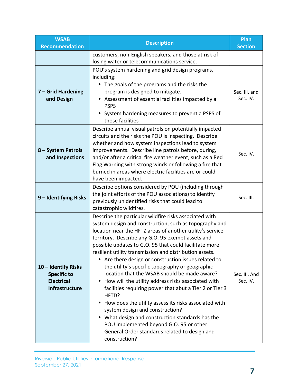| <b>WSAB</b><br><b>Recommendation</b>                                                    | <b>Description</b>                                                                                                                                                                                                                                                                                                                                                                                                                                                                                                                                                                                                                                                                                                                                                                                                                                                                                      | Plan<br><b>Section</b>    |
|-----------------------------------------------------------------------------------------|---------------------------------------------------------------------------------------------------------------------------------------------------------------------------------------------------------------------------------------------------------------------------------------------------------------------------------------------------------------------------------------------------------------------------------------------------------------------------------------------------------------------------------------------------------------------------------------------------------------------------------------------------------------------------------------------------------------------------------------------------------------------------------------------------------------------------------------------------------------------------------------------------------|---------------------------|
|                                                                                         | customers, non-English speakers, and those at risk of<br>losing water or telecommunications service.                                                                                                                                                                                                                                                                                                                                                                                                                                                                                                                                                                                                                                                                                                                                                                                                    |                           |
| 7 - Grid Hardening<br>and Design                                                        | POU's system hardening and grid design programs,<br>including:<br>• The goals of the programs and the risks the<br>program is designed to mitigate.<br>• Assessment of essential facilities impacted by a<br><b>PSPS</b><br>• System hardening measures to prevent a PSPS of<br>those facilities                                                                                                                                                                                                                                                                                                                                                                                                                                                                                                                                                                                                        | Sec. III. and<br>Sec. IV. |
| 8 - System Patrols<br>and Inspections                                                   | Describe annual visual patrols on potentially impacted<br>circuits and the risks the POU is inspecting. Describe<br>whether and how system inspections lead to system<br>improvements. Describe line patrols before, during,<br>and/or after a critical fire weather event, such as a Red<br>Flag Warning with strong winds or following a fire that<br>burned in areas where electric facilities are or could<br>have been impacted.                                                                                                                                                                                                                                                                                                                                                                                                                                                                   | Sec. IV.                  |
| 9 - Identifying Risks                                                                   | Describe options considered by POU (including through<br>the joint efforts of the POU associations) to identify<br>previously unidentified risks that could lead to<br>catastrophic wildfires.                                                                                                                                                                                                                                                                                                                                                                                                                                                                                                                                                                                                                                                                                                          | Sec. III.                 |
| 10 - Identify Risks<br><b>Specific to</b><br><b>Electrical</b><br><b>Infrastructure</b> | Describe the particular wildfire risks associated with<br>system design and construction, such as topography and<br>location near the HFTZ areas of another utility's service<br>territory. Describe any G.O. 95 exempt assets and<br>possible updates to G.O. 95 that could facilitate more<br>resilient utility transmission and distribution assets.<br>• Are there design or construction issues related to<br>the utility's specific topography or geographic<br>location that the WSAB should be made aware?<br>How will the utility address risks associated with<br>facilities requiring power that abut a Tier 2 or Tier 3<br>HFTD?<br>How does the utility assess its risks associated with<br>system design and construction?<br>What design and construction standards has the<br>POU implemented beyond G.O. 95 or other<br>General Order standards related to design and<br>construction? | Sec. III. And<br>Sec. IV. |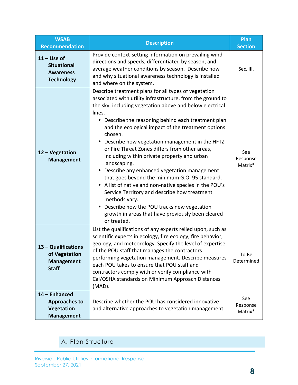| <b>WSAB</b><br><b>Recommendation</b>                                         | <b>Description</b>                                                                                                                                                                                                                                                                                                                                                                                                                                                                                                                                                                                                                                                                                                                                                                                                                                          | Plan<br><b>Section</b>     |
|------------------------------------------------------------------------------|-------------------------------------------------------------------------------------------------------------------------------------------------------------------------------------------------------------------------------------------------------------------------------------------------------------------------------------------------------------------------------------------------------------------------------------------------------------------------------------------------------------------------------------------------------------------------------------------------------------------------------------------------------------------------------------------------------------------------------------------------------------------------------------------------------------------------------------------------------------|----------------------------|
| $11 -$ Use of<br><b>Situational</b><br><b>Awareness</b><br><b>Technology</b> | Provide context-setting information on prevailing wind<br>directions and speeds, differentiated by season, and<br>average weather conditions by season. Describe how<br>and why situational awareness technology is installed<br>and where on the system.                                                                                                                                                                                                                                                                                                                                                                                                                                                                                                                                                                                                   | Sec. III.                  |
| 12 - Vegetation<br><b>Management</b>                                         | Describe treatment plans for all types of vegetation<br>associated with utility infrastructure, from the ground to<br>the sky, including vegetation above and below electrical<br>lines.<br>Describe the reasoning behind each treatment plan<br>$\bullet$<br>and the ecological impact of the treatment options<br>chosen.<br>Describe how vegetation management in the HFTZ<br>$\bullet$<br>or Fire Threat Zones differs from other areas,<br>including within private property and urban<br>landscaping.<br>• Describe any enhanced vegetation management<br>that goes beyond the minimum G.O. 95 standard.<br>• A list of native and non-native species in the POU's<br>Service Territory and describe how treatment<br>methods vary.<br>Describe how the POU tracks new vegetation<br>growth in areas that have previously been cleared<br>or treated. | See<br>Response<br>Matrix* |
| 13 - Qualifications<br>of Vegetation<br><b>Management</b><br><b>Staff</b>    | List the qualifications of any experts relied upon, such as<br>scientific experts in ecology, fire ecology, fire behavior,<br>geology, and meteorology. Specify the level of expertise<br>of the POU staff that manages the contractors<br>performing vegetation management. Describe measures<br>each POU takes to ensure that POU staff and<br>contractors comply with or verify compliance with<br>Cal/OSHA standards on Minimum Approach Distances<br>(MAD).                                                                                                                                                                                                                                                                                                                                                                                            | To Be<br>Determined        |
| 14 - Enhanced<br><b>Approaches to</b><br>Vegetation<br><b>Management</b>     | Describe whether the POU has considered innovative<br>and alternative approaches to vegetation management.                                                                                                                                                                                                                                                                                                                                                                                                                                                                                                                                                                                                                                                                                                                                                  | See<br>Response<br>Matrix* |

### A. Plan Structure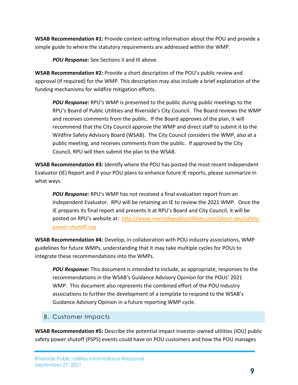**WSAB Recommendation #1:** Provide context-setting information about the POU and provide a simple guide to where the statutory requirements are addressed within the WMP.

*POU Response:* See Sections II and III above.

**WSAB Recommendation #2:** Provide a short description of the POU's public review and approval (if required) for the WMP. This description may also include a brief explanation of the funding mechanisms for wildfire mitigation efforts.

*POU Response:* RPU's WMP is presented to the public during public meetings to the RPU's Board of Public Utilities and Riverside's City Council. The Board reviews the WMP and receives comments from the public. If the Board approves of the plan, it will recommend that the City Council approve the WMP and direct staff to submit it to the Wildfire Safety Advisory Board (WSAB). The City Council considers the WMP, also at a public meeting, and receives comments from the public. If approved by the City Council, RPU will then submit the plan to the WSAB.

**WSAB Recommendation #3:** Identify where the POU has posted the most recent Independent Evaluator (IE) Report and if your POU plans to enhance future IE reports, please summarize in what ways.

*POU Response:* RPU's WMP has not received a final evaluation report from an Independent Evaluator. RPU will be retaining an IE to review the 2021 WMP. Once the IE prepares its final report and presents it at RPU's Board and City Council, it will be posted on RPU's website at: [http://www.riversidepublicutilities.com/about-rpu/safety](http://www.riversidepublicutilities.com/about-rpu/safety-power-shutoff.asp)[power-shutoff.asp](http://www.riversidepublicutilities.com/about-rpu/safety-power-shutoff.asp)

**WSAB Recommendation #4:** Develop, in collaboration with POU industry associations, WMP guidelines for future WMPs, understanding that it may take multiple cycles for POUs to integrate these recommendations into the WMPs.

*POU Response:* This document is intended to include, as appropriate, responses to the recommendations in the WSAB's Guidance Advisory Opinion for the POUs' 2021 WMP. This document also represents the combined effort of the POU industry associations to further the development of a template to respond to the WSAB's Guidance Advisory Opinion in a future reporting WMP cycle.

### B. Customer Impacts

**WSAB Recommendation #5:** Describe the potential impact investor-owned utilities (IOU) public safety power shutoff (PSPS) events could have on POU customers and how the POU manages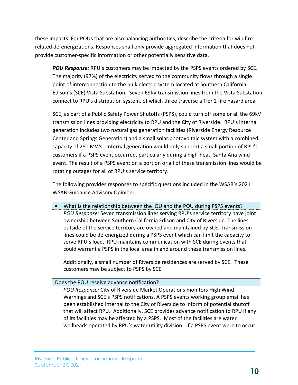these impacts. For POUs that are also balancing authorities, describe the criteria for wildfire related de-energizations. Responses shall only provide aggregated information that does not provide customer-specific information or other potentially sensitive data.

*POU Response:* RPU's customers may be impacted by the PSPS events ordered by SCE. The majority (97%) of the electricity served to the community flows through a single point of interconnection to the bulk electric system located at Southern California Edison's (SCE) Vista Substation. Seven 69kV transmission lines from the Vista Substation connect to RPU's distribution system, of which three traverse a Tier 2 fire hazard area.

SCE, as part of a Public Safety Power Shutoffs (PSPS), could turn off some or all the 69kV transmission lines providing electricity to RPU and the City of Riverside. RPU's internal generation includes two natural gas generation facilities (Riverside Energy Resource Center and Springs Generation) and a small solar photovoltaic system with a combined capacity of 280 MWs. Internal generation would only support a small portion of RPU's customers if a PSPS event occurred, particularly during a high-heat, Santa Ana wind event. The result of a PSPS event on a portion or all of these transmission lines would be rotating outages for all of RPU's service territory.

The following provides responses to specific questions included in the WSAB's 2021 WSAB Guidance Advisory Opinion:

 What is the relationship between the IOU and the POU during PSPS events? *POU Response:* Seven transmission lines serving RPU's service territory have joint ownership between Southern California Edison and City of Riverside. The lines outside of the service territory are owned and maintained by SCE. Transmission lines could be de-energized during a PSPS event which can limit the capacity to serve RPU's load. RPU maintains communication with SCE during events that could warrant a PSPS in the local area in and around these transmission lines.

Additionally, a small number of Riverside residences are served by SCE. These customers may be subject to PSPS by SCE.

### Does the POU receive advance notification?

*POU Response:* City of Riverside Market Operations monitors High Wind Warnings and SCE's PSPS notifications. A PSPS events working group email has been established internal to the City of Riverside to inform of potential shutoff that will affect RPU. Additionally, SCE provides advance notification to RPU if any of its facilities may be affected by a PSPS. Most of the facilities are water wellheads operated by RPU's water utility division. If a PSPS event were to occur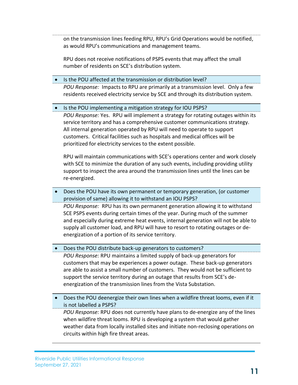on the transmission lines feeding RPU, RPU's Grid Operations would be notified, as would RPU's communications and management teams.

RPU does not receive notifications of PSPS events that may affect the small number of residents on SCE's distribution system.

• Is the POU affected at the transmission or distribution level? *POU Response:* Impacts to RPU are primarily at a transmission level. Only a few residents received electricity service by SCE and through its distribution system.

#### • Is the POU implementing a mitigation strategy for IOU PSPS?

*POU Response:* Yes. RPU will implement a strategy for rotating outages within its service territory and has a comprehensive customer communications strategy. All internal generation operated by RPU will need to operate to support customers. Critical facilities such as hospitals and medical offices will be prioritized for electricity services to the extent possible.

RPU will maintain communications with SCE's operations center and work closely with SCE to minimize the duration of any such events, including providing utility support to inspect the area around the transmission lines until the lines can be re-energized.

 Does the POU have its own permanent or temporary generation, (or customer provision of same) allowing it to withstand an IOU PSPS? *POU Response:* RPU has its own permanent generation allowing it to withstand SCE PSPS events during certain times of the year. During much of the summer and especially during extreme heat events, internal generation will not be able to supply all customer load, and RPU will have to resort to rotating outages or de-

energization of a portion of its service territory.

Does the POU distribute back-up generators to customers?

*POU Response:* RPU maintains a limited supply of back-up generators for customers that may be experiences a power outage. These back-up generators are able to assist a small number of customers. They would not be sufficient to support the service territory during an outage that results from SCE's deenergization of the transmission lines from the Vista Substation.

 Does the POU deenergize their own lines when a wildfire threat looms, even if it is not labelled a PSPS?

*POU Response:* RPU does not currently have plans to de-energize any of the lines when wildfire threat looms. RPU is developing a system that would gather weather data from locally installed sites and initiate non-reclosing operations on circuits within high fire threat areas.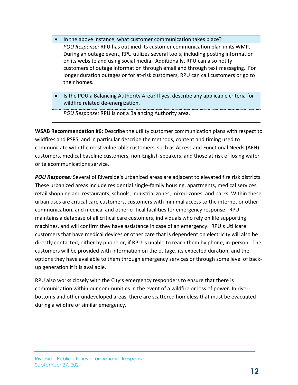- In the above instance, what customer communication takes place? *POU Response:* RPU has outlined its customer communication plan in its WMP. During an outage event, RPU utilizes several tools, including posting information on its website and using social media. Additionally, RPU can also notify customers of outage information through email and through text messaging. For longer duration outages or for at-risk customers, RPU can call customers or go to their homes.
- Is the POU a Balancing Authority Area? If yes, describe any applicable criteria for wildfire related de-energization.

*POU Response:* RPU is not a Balancing Authority area.

**WSAB Recommendation #6:** Describe the utility customer communication plans with respect to wildfires and PSPS, and in particular describe the methods, content and timing used to communicate with the most vulnerable customers, such as Access and Functional Needs (AFN) customers, medical baseline customers, non-English speakers, and those at risk of losing water or telecommunications service.

*POU Response:* Several of Riverside's urbanized areas are adjacent to elevated fire risk districts. These urbanized areas include residential single-family housing, apartments, medical services, retail shopping and restaurants, schools, industrial zones, mixed-zones, and parks. Within these urban uses are critical care customers, customers with minimal access to the internet or other communication, and medical and other critical facilities for emergency response. RPU maintains a database of all critical care customers, individuals who rely on life supporting machines, and will confirm they have assistance in case of an emergency. RPU's Utilicare customers that have medical devices or other care that is dependent on electricity will also be directly contacted, either by phone or, if RPU is unable to reach them by phone, in-person. The customers will be provided with information on the outage, its expected duration, and the options they have available to them through emergency services or through some level of backup generation if it is available.

RPU also works closely with the City's emergency responders to ensure that there is communication within our communities in the event of a wildfire or loss of power. In riverbottoms and other undeveloped areas, there are scattered homeless that must be evacuated during a wildfire or similar emergency.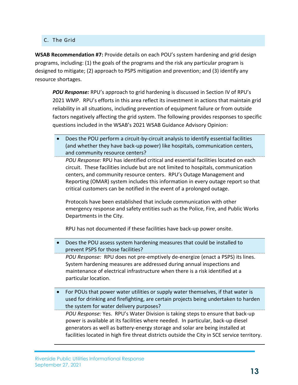### C. The Grid

**WSAB Recommendation #7:** Provide details on each POU's system hardening and grid design programs, including: (1) the goals of the programs and the risk any particular program is designed to mitigate; (2) approach to PSPS mitigation and prevention; and (3) identify any resource shortages.

*POU Response:* RPU's approach to grid hardening is discussed in Section IV of RPU's 2021 WMP. RPU's efforts in this area reflect its investment in actions that maintain grid reliability in all situations, including prevention of equipment failure or from outside factors negatively affecting the grid system. The following provides responses to specific questions included in the WSAB's 2021 WSAB Guidance Advisory Opinion:

 Does the POU perform a circuit-by-circuit analysis to identify essential facilities (and whether they have back-up power) like hospitals, communication centers, and community resource centers?

*POU Response:* RPU has identified critical and essential facilities located on each circuit. These facilities include but are not limited to hospitals, communication centers, and community resource centers. RPU's Outage Management and Reporting (OMAR) system includes this information in every outage report so that critical customers can be notified in the event of a prolonged outage.

Protocols have been established that include communication with other emergency response and safety entities such as the Police, Fire, and Public Works Departments in the City.

RPU has not documented if these facilities have back-up power onsite.

 Does the POU assess system hardening measures that could be installed to prevent PSPS for those facilities?

*POU Response:* RPU does not pre-emptively de-energize (enact a PSPS) its lines. System hardening measures are addressed during annual inspections and maintenance of electrical infrastructure when there is a risk identified at a particular location.

 For POUs that power water utilities or supply water themselves, if that water is used for drinking and firefighting, are certain projects being undertaken to harden the system for water delivery purposes?

*POU Response:* Yes. RPU's Water Division is taking steps to ensure that back-up power is available at its facilities where needed. In particular, back-up diesel generators as well as battery-energy storage and solar are being installed at facilities located in high fire threat districts outside the City in SCE service territory.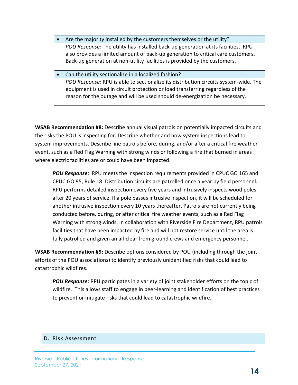- Are the majority installed by the customers themselves or the utility? *POU Response:* The utility has installed back-up generation at its facilities. RPU also provides a limited amount of back-up generation to critical care customers. Back-up generation at non-utility facilities is provided by the customers.
- Can the utility sectionalize in a localized fashion? *POU Response:* RPU is able to sectionalize its distribution circuits system-wide. The equipment is used in circuit protection or load transferring regardless of the reason for the outage and will be used should de-energization be necessary.

**WSAB Recommendation #8:** Describe annual visual patrols on potentially impacted circuits and the risks the POU is inspecting for. Describe whether and how system inspections lead to system improvements. Describe line patrols before, during, and/or after a critical fire weather event, such as a Red Flag Warning with strong winds or following a fire that burned in areas where electric facilities are or could have been impacted.

*POU Response:* RPU meets the inspection requirements provided in CPUC GO 165 and CPUC GO 95, Rule 18. Distribution circuits are patrolled once a year by field personnel. RPU performs detailed inspection every five years and intrusively inspects wood poles after 20 years of service. If a pole passes intrusive inspection, it will be scheduled for another intrusive inspection every 10 years thereafter. Patrols are not currently being conducted before, during, or after critical fire weather events, such as a Red Flag Warning with strong winds. In collaboration with Riverside Fire Department, RPU patrols facilities that have been impacted by fire and will not restore service until the area is fully patrolled and given an all-clear from ground crews and emergency personnel.

**WSAB Recommendation #9:** Describe options considered by POU (including through the joint efforts of the POU associations) to identify previously unidentified risks that could lead to catastrophic wildfires.

*POU Response:* RPU participates in a variety of joint stakeholder efforts on the topic of wildfire. This allows staff to engage in peer-learning and identification of best practices to prevent or mitigate risks that could lead to catastrophic wildfire.

#### D. Risk Assessment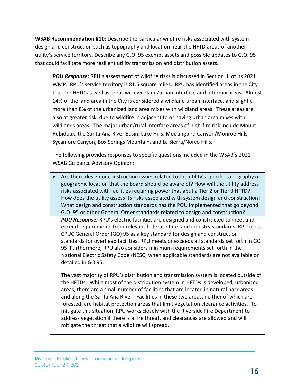**WSAB Recommendation #10:** Describe the particular wildfire risks associated with system design and construction such as topography and location near the HFTD areas of another utility's service territory. Describe any G.O. 95 exempt assets and possible updates to G.O. 95 that could facilitate more resilient utility transmission and distribution assets.

*POU Response:* RPU's assessment of wildfire risks is discussed in Section III of its 2021 WMP. RPU's service territory is 81.5 square miles. RPU has identified areas in the City that are HFTD as well as areas with wildland/urban interface and intermix areas. Almost 14% of the land area in the City is considered a wildland urban interface, and slightly more than 8% of the urbanized land area mixes with wildland areas. These areas are also at greater risk, due to wildfire in adjacent to or having urban area mixes with wildlands areas. The major urban/rural interface areas of high-fire risk include Mount Rubidoux, the Santa Ana River Basin, Lake Hills, Mockingbird Canyon/Monroe Hills, Sycamore Canyon, Box Springs Mountain, and La Sierra/Norco Hills.

The following provides responses to specific questions included in the WSAB's 2021 WSAB Guidance Advisory Opinion:

 Are there design or construction issues related to the utility's specific topography or geographic location that the Board should be aware of? How will the utility address risks associated with facilities requiring power that abut a Tier 2 or Tier 3 HFTD? How does the utility assess its risks associated with system design and construction? What design and construction standards has the POU implemented that go beyond G.O. 95 or other General Order standards related to design and construction? *POU Response:* RPU's electric facilities are designed and constructed to meet and exceed requirements from relevant federal, state, and industry standards. RPU uses CPUC General Order (GO) 95 as a key standard for design and construction standards for overhead facilities. RPU meets or exceeds all standards set forth in GO 95. Furthermore, RPU also considers minimum requirements set forth in the National Electric Safety Code (NESC) when applicable standards are not available or detailed in GO 95.

The vast majority of RPU's distribution and transmission system is located outside of the HFTDs. While most of the distribution system in HFTDs is developed, urbanized areas, there are a small number of facilities that are located in natural park areas and along the Santa Ana River. Facilities in these two areas, neither of which are forested, are habitat protection areas that limit vegetation clearance activities. To mitigate this situation, RPU works closely with the Riverside Fire Department to address vegetation if there is a fire threat, and clearances are allowed and will mitigate the threat that a wildfire will spread.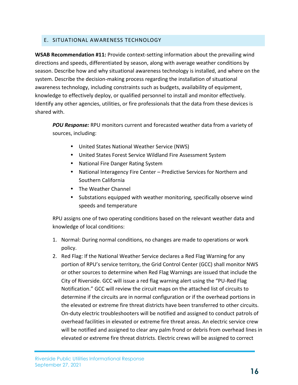### E. SITUATIONAL AWARENESS TECHNOLOGY

**WSAB Recommendation #11:** Provide context-setting information about the prevailing wind directions and speeds, differentiated by season, along with average weather conditions by season. Describe how and why situational awareness technology is installed, and where on the system. Describe the decision-making process regarding the installation of situational awareness technology, including constraints such as budgets, availability of equipment, knowledge to effectively deploy, or qualified personnel to install and monitor effectively. Identify any other agencies, utilities, or fire professionals that the data from these devices is shared with.

*POU Response:* RPU monitors current and forecasted weather data from a variety of sources, including:

- United States National Weather Service (NWS)
- United States Forest Service Wildland Fire Assessment System
- National Fire Danger Rating System
- National Interagency Fire Center Predictive Services for Northern and Southern California
- The Weather Channel
- Substations equipped with weather monitoring, specifically observe wind speeds and temperature

RPU assigns one of two operating conditions based on the relevant weather data and knowledge of local conditions:

- 1. Normal: During normal conditions, no changes are made to operations or work policy.
- 2. Red Flag: If the National Weather Service declares a Red Flag Warning for any portion of RPU's service territory, the Grid Control Center (GCC) shall monitor NWS or other sources to determine when Red Flag Warnings are issued that include the City of Riverside. GCC will issue a red flag warning alert using the "PU-Red Flag Notification." GCC will review the circuit maps on the attached list of circuits to determine if the circuits are in normal configuration or if the overhead portions in the elevated or extreme fire threat districts have been transferred to other circuits. On-duty electric troubleshooters will be notified and assigned to conduct patrols of overhead facilities in elevated or extreme fire threat areas. An electric service crew will be notified and assigned to clear any palm frond or debris from overhead lines in elevated or extreme fire threat districts. Electric crews will be assigned to correct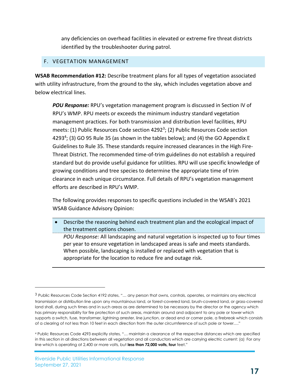any deficiencies on overhead facilities in elevated or extreme fire threat districts identified by the troubleshooter during patrol.

### F. VEGETATION MANAGEMENT

**WSAB Recommendation #12:** Describe treatment plans for all types of vegetation associated with utility infrastructure, from the ground to the sky, which includes vegetation above and below electrical lines.

*POU Response:* RPU's vegetation management program is discussed in Section IV of RPU's WMP. RPU meets or exceeds the minimum industry standard vegetation management practices. For both transmission and distribution level facilities, RPU meets: (1) Public Resources Code section 4292<sup>3</sup>; (2) Public Resources Code section 4293<sup>4</sup>; (3) GO 95 Rule 35 (as shown in the tables below); and (4) the GO Appendix E Guidelines to Rule 35. These standards require increased clearances in the High Fire-Threat District. The recommended time-of-trim guidelines do not establish a required standard but do provide useful guidance for utilities. RPU will use specific knowledge of growing conditions and tree species to determine the appropriate time of trim clearance in each unique circumstance. Full details of RPU's vegetation management efforts are described in RPU's WMP.

The following provides responses to specific questions included in the WSAB's 2021 WSAB Guidance Advisory Opinion:

 Describe the reasoning behind each treatment plan and the ecological impact of the treatment options chosen.

*POU Response:* All landscaping and natural vegetation is inspected up to four times per year to ensure vegetation in landscaped areas is safe and meets standards. When possible, landscaping is installed or replaced with vegetation that is appropriate for the location to reduce fire and outage risk.

l

<sup>3</sup> Public Resources Code Section 4192 states, "… any person that owns, controls, operates, or maintains any electrical transmission or distribution line upon any mountainous land, or forest-covered land, brush-covered land, or grass-covered land shall, during such times and in such areas as are determined to be necessary by the director or the agency which has primary responsibility for fire protection of such areas, maintain around and adjacent to any pole or tower which supports a switch, fuse, transformer, lightning arrester, line junction, or dead end or corner pole, a firebreak which consists of a clearing of not less than 10 feet in each direction from the outer circumference of such pole or tower…."

<sup>4</sup> Public Resources Code 4293 explicitly states, "… maintain a clearance of the respective distances which are specified in this section in all directions between all vegetation and all conductors which are carrying electric current: (a) For any line which is operating at 2,400 or more volts, but **less than 72,000 volts, four** feet."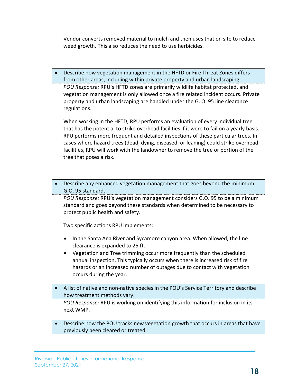Vendor converts removed material to mulch and then uses that on site to reduce weed growth. This also reduces the need to use herbicides.

 Describe how vegetation management in the HFTD or Fire Threat Zones differs from other areas, including within private property and urban landscaping. *POU Response:* RPU's HFTD zones are primarily wildlife habitat protected, and vegetation management is only allowed once a fire related incident occurs. Private property and urban landscaping are handled under the G. O. 95 line clearance regulations.

When working in the HFTD, RPU performs an evaluation of every individual tree that has the potential to strike overhead facilities if it were to fail on a yearly basis. RPU performs more frequent and detailed inspections of these particular trees. In cases where hazard trees (dead, dying, diseased, or leaning) could strike overhead facilities, RPU will work with the landowner to remove the tree or portion of the tree that poses a risk.

 Describe any enhanced vegetation management that goes beyond the minimum G.O. 95 standard.

*POU Response:* RPU's vegetation management considers G.O. 95 to be a minimum standard and goes beyond these standards when determined to be necessary to protect public health and safety.

Two specific actions RPU implements:

- In the Santa Ana River and Sycamore canyon area. When allowed, the line clearance is expanded to 25 ft.
- Vegetation and Tree trimming occur more frequently than the scheduled annual inspection. This typically occurs when there is increased risk of fire hazards or an increased number of outages due to contact with vegetation occurs during the year.
- A list of native and non-native species in the POU's Service Territory and describe how treatment methods vary.

*POU Response:* RPU is working on identifying this information for inclusion in its next WMP.

 Describe how the POU tracks new vegetation growth that occurs in areas that have previously been cleared or treated.